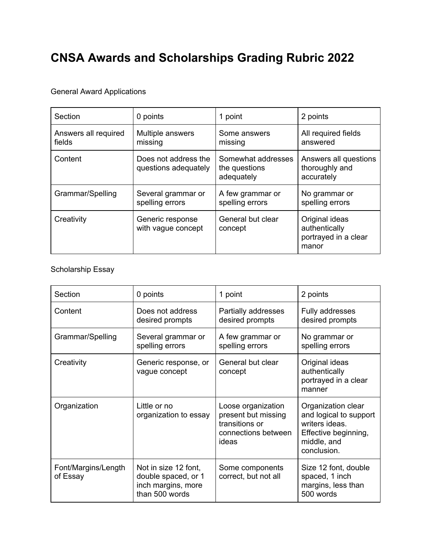## **CNSA Awards and Scholarships Grading Rubric 2022**

## General Award Applications

| Section                        | 0 points                                     | 1 point                                           | 2 points                                                         |
|--------------------------------|----------------------------------------------|---------------------------------------------------|------------------------------------------------------------------|
| Answers all required<br>fields | Multiple answers<br>missing                  | Some answers<br>missing                           | All required fields<br>answered                                  |
| Content                        | Does not address the<br>questions adequately | Somewhat addresses<br>the questions<br>adequately | Answers all questions<br>thoroughly and<br>accurately            |
| Grammar/Spelling               | Several grammar or<br>spelling errors        | A few grammar or<br>spelling errors               | No grammar or<br>spelling errors                                 |
| Creativity                     | Generic response<br>with vague concept       | General but clear<br>concept                      | Original ideas<br>authentically<br>portrayed in a clear<br>manor |

## Scholarship Essay

| Section                         | 0 points                                                                            | 1 point                                                                                     | 2 points                                                                                                             |
|---------------------------------|-------------------------------------------------------------------------------------|---------------------------------------------------------------------------------------------|----------------------------------------------------------------------------------------------------------------------|
| Content                         | Does not address<br>desired prompts                                                 | Partially addresses<br>desired prompts                                                      | Fully addresses<br>desired prompts                                                                                   |
| Grammar/Spelling                | Several grammar or<br>spelling errors                                               | A few grammar or<br>spelling errors                                                         | No grammar or<br>spelling errors                                                                                     |
| Creativity                      | Generic response, or<br>vague concept                                               | General but clear<br>concept                                                                | Original ideas<br>authentically<br>portrayed in a clear<br>manner                                                    |
| Organization                    | Little or no<br>organization to essay                                               | Loose organization<br>present but missing<br>transitions or<br>connections between<br>ideas | Organization clear<br>and logical to support<br>writers ideas.<br>Effective beginning,<br>middle, and<br>conclusion. |
| Font/Margins/Length<br>of Essay | Not in size 12 font,<br>double spaced, or 1<br>inch margins, more<br>than 500 words | Some components<br>correct, but not all                                                     | Size 12 font, double<br>spaced, 1 inch<br>margins, less than<br>500 words                                            |